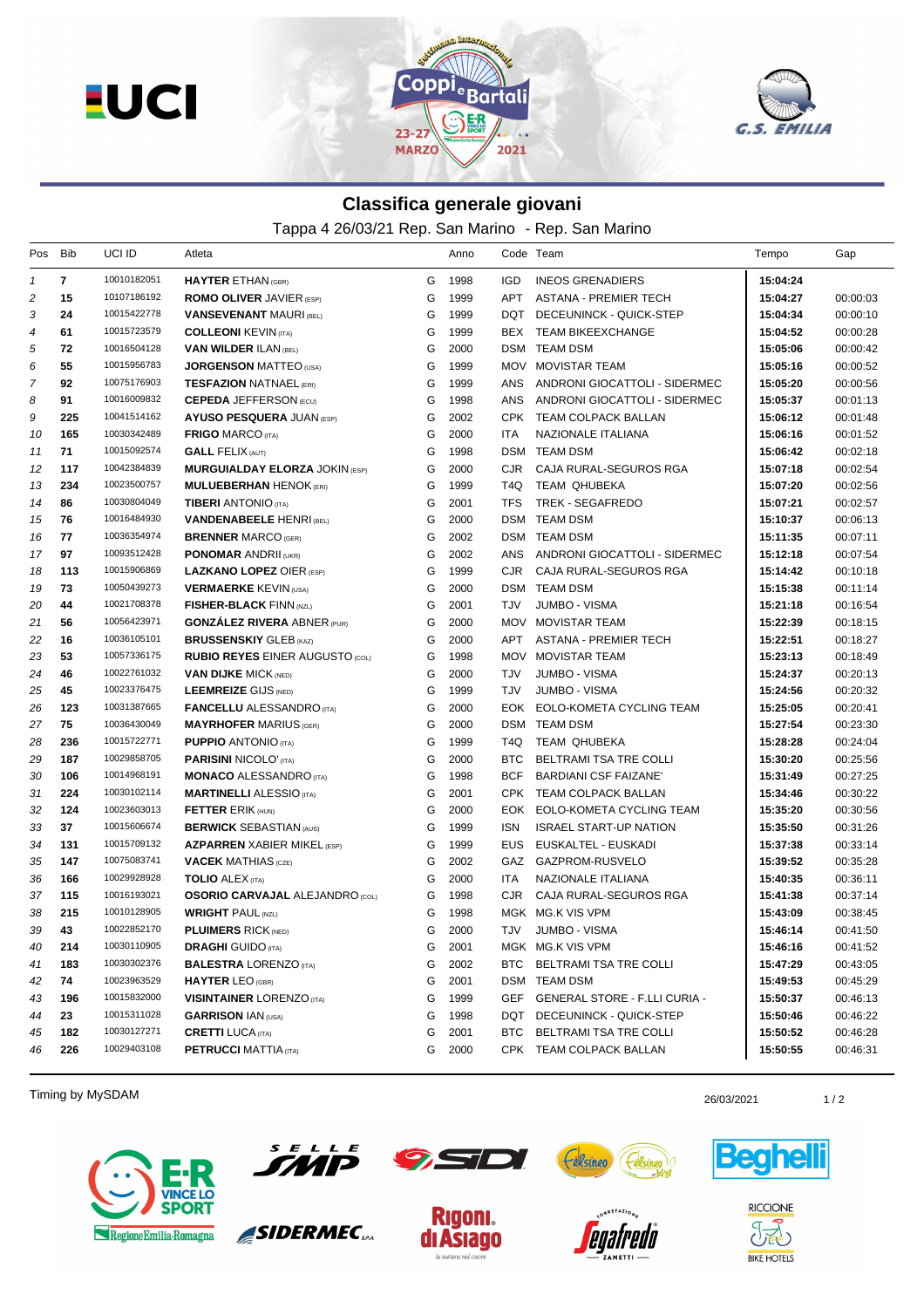



## **Classifica generale giovani**

Tappa 4 26/03/21 Rep. San Marino - Rep. San Marino

| Pos                     | Bib          | UCI ID      | Atleta                                 |   | Anno |            | Code Team                            | Tempo    | Gap      |
|-------------------------|--------------|-------------|----------------------------------------|---|------|------------|--------------------------------------|----------|----------|
| $\mathcal I$            | $\mathbf{7}$ | 10010182051 | <b>HAYTER ETHAN (GBR)</b>              | G | 1998 | IGD.       | <b>INEOS GRENADIERS</b>              | 15:04:24 |          |
| $\overline{\mathbf{c}}$ | 15           | 10107186192 | <b>ROMO OLIVER JAVIER (ESP)</b>        | G | 1999 | APT        | ASTANA - PREMIER TECH                | 15:04:27 | 00:00:03 |
| 3                       | 24           | 10015422778 | <b>VANSEVENANT MAURI (BEL)</b>         | G | 1999 |            | DQT DECEUNINCK - QUICK-STEP          | 15:04:34 | 00:00:10 |
| 4                       | 61           | 10015723579 | <b>COLLEONI KEVIN (ITA)</b>            | G | 1999 |            | BEX TEAM BIKEEXCHANGE                | 15:04:52 | 00:00:28 |
| 5                       | 72           | 10016504128 | <b>VAN WILDER ILAN (BEL)</b>           | G | 2000 |            | DSM TEAM DSM                         | 15:05:06 | 00:00:42 |
| 6                       | 55           | 10015956783 | <b>JORGENSON MATTEO (USA)</b>          | G | 1999 |            | MOV MOVISTAR TEAM                    | 15:05:16 | 00:00:52 |
| 7                       | 92           | 10075176903 | <b>TESFAZION NATNAEL (ERI)</b>         | G | 1999 | ANS        | ANDRONI GIOCATTOLI - SIDERMEC        | 15:05:20 | 00:00:56 |
| 8                       | 91           | 10016009832 | <b>CEPEDA JEFFERSON (ECU)</b>          | G | 1998 | ANS        | ANDRONI GIOCATTOLI - SIDERMEC        | 15:05:37 | 00:01:13 |
| 9                       | 225          | 10041514162 | <b>AYUSO PESQUERA JUAN (ESP)</b>       | G | 2002 |            | CPK TEAM COLPACK BALLAN              | 15:06:12 | 00:01:48 |
| 10                      | 165          | 10030342489 | <b>FRIGO MARCO (ITA)</b>               | G | 2000 | ITA        | NAZIONALE ITALIANA                   | 15:06:16 | 00:01:52 |
| 11                      | 71           | 10015092574 | <b>GALL FELIX (AUT)</b>                | G | 1998 |            | <b>DSM TEAM DSM</b>                  | 15:06:42 | 00:02:18 |
| 12                      | 117          | 10042384839 | <b>MURGUIALDAY ELORZA JOKIN (ESP)</b>  | G | 2000 | CJR        | CAJA RURAL-SEGUROS RGA               | 15:07:18 | 00:02:54 |
| 13                      | 234          | 10023500757 | <b>MULUEBERHAN HENOK (ERI)</b>         | G | 1999 | T4Q        | TEAM QHUBEKA                         | 15:07:20 | 00:02:56 |
| 14                      | 86           | 10030804049 | <b>TIBERI</b> ANTONIO (ITA)            | G | 2001 | <b>TFS</b> | TREK - SEGAFREDO                     | 15:07:21 | 00:02:57 |
| 15                      | 76           | 10016484930 | <b>VANDENABEELE HENRI (BEL)</b>        | G | 2000 |            | DSM TEAM DSM                         | 15:10:37 | 00:06:13 |
| 16                      | 77           | 10036354974 | <b>BRENNER MARCO (GER)</b>             | G | 2002 |            | DSM TEAM DSM                         | 15:11:35 | 00:07:11 |
| 17                      | 97           | 10093512428 | <b>PONOMAR ANDRII (UKR)</b>            | G | 2002 | ANS        | ANDRONI GIOCATTOLI - SIDERMEC        | 15:12:18 | 00:07:54 |
| 18                      | 113          | 10015906869 | <b>LAZKANO LOPEZ OIER (ESP)</b>        | G | 1999 | CJR        | CAJA RURAL-SEGUROS RGA               | 15:14:42 | 00:10:18 |
| 19                      | 73           | 10050439273 | <b>VERMAERKE KEVIN (USA)</b>           | G | 2000 |            | DSM TEAM DSM                         | 15:15:38 | 00:11:14 |
| 20                      | 44           | 10021708378 | <b>FISHER-BLACK FINN (NZL)</b>         | G | 2001 | TJV        | JUMBO - VISMA                        | 15:21:18 | 00:16:54 |
| 21                      | 56           | 10056423971 | <b>GONZALEZ RIVERA ABNER (PUR)</b>     | G | 2000 |            | MOV MOVISTAR TEAM                    | 15:22:39 | 00:18:15 |
| 22                      | 16           | 10036105101 | <b>BRUSSENSKIY GLEB (KAZ)</b>          | G | 2000 |            | APT ASTANA - PREMIER TECH            | 15:22:51 | 00:18:27 |
| 23                      | 53           | 10057336175 | <b>RUBIO REYES EINER AUGUSTO (COL)</b> | G | 1998 | MOV        | MOVISTAR TEAM                        | 15:23:13 | 00:18:49 |
| 24                      | 46           | 10022761032 | <b>VAN DIJKE MICK (NED)</b>            | G | 2000 | TJV        | JUMBO - VISMA                        | 15:24:37 | 00:20:13 |
| 25                      | 45           | 10023376475 | <b>LEEMREIZE GIJS (NED)</b>            | G | 1999 | TJV        | <b>JUMBO - VISMA</b>                 | 15:24:56 | 00:20:32 |
| 26                      | 123          | 10031387665 | <b>FANCELLU</b> ALESSANDRO (ITA)       | G | 2000 |            | EOK EOLO-KOMETA CYCLING TEAM         | 15:25:05 | 00:20:41 |
| 27                      | 75           | 10036430049 | <b>MAYRHOFER MARIUS (GER)</b>          | G | 2000 |            | DSM TEAM DSM                         | 15:27:54 | 00:23:30 |
| 28                      | 236          | 10015722771 | <b>PUPPIO ANTONIO (ITA)</b>            | G | 1999 | T4Q        | TEAM QHUBEKA                         | 15:28:28 | 00:24:04 |
| 29                      | 187          | 10029858705 | <b>PARISINI NICOLO' (ITA)</b>          | G | 2000 | <b>BTC</b> | BELTRAMI TSA TRE COLLI               | 15:30:20 | 00:25:56 |
| 30                      | 106          | 10014968191 | <b>MONACO ALESSANDRO (ITA)</b>         | G | 1998 | <b>BCF</b> | <b>BARDIANI CSF FAIZANE'</b>         | 15:31:49 | 00:27:25 |
| 31                      | 224          | 10030102114 | <b>MARTINELLI ALESSIO</b> (ITA)        | G | 2001 |            | CPK TEAM COLPACK BALLAN              | 15:34:46 | 00:30:22 |
| 32                      | 124          | 10023603013 | <b>FETTER ERIK (HUN)</b>               | G | 2000 |            | EOK EOLO-KOMETA CYCLING TEAM         | 15:35:20 | 00:30:56 |
| 33                      | 37           | 10015606674 | <b>BERWICK SEBASTIAN (AUS)</b>         | G | 1999 | ISN        | <b>ISRAEL START-UP NATION</b>        | 15:35:50 | 00:31:26 |
| 34                      | 131          | 10015709132 | <b>AZPARREN XABIER MIKEL (ESP)</b>     | G | 1999 | EUS        | EUSKALTEL - EUSKADI                  | 15:37:38 | 00:33:14 |
| 35                      | 147          | 10075083741 | <b>VACEK MATHIAS (CZE)</b>             | G | 2002 |            | GAZ GAZPROM-RUSVELO                  | 15:39:52 | 00:35:28 |
| 36                      | 166          | 10029928928 | <b>TOLIO</b> ALEX (ITA)                | G | 2000 | ITA        | NAZIONALE ITALIANA                   | 15:40:35 | 00:36:11 |
| 37                      | 115          | 10016193021 | <b>OSORIO CARVAJAL ALEJANDRO</b> (COL) | G | 1998 | CJR.       | CAJA RURAL-SEGUROS RGA               | 15:41:38 | 00:37:14 |
| 38                      | 215          | 10010128905 | <b>WRIGHT PAUL (NZL)</b>               | G | 1998 |            | MGK MG.K VIS VPM                     | 15:43:09 | 00:38:45 |
| 39                      | 43           | 10022852170 | <b>PLUIMERS RICK (NED)</b>             | G | 2000 |            | TJV JUMBO - VISMA                    | 15:46:14 | 00:41:50 |
| 40                      | 214          | 10030110905 | <b>DRAGHI</b> GUIDO (ITA)              | G | 2001 |            | MGK MG.K VIS VPM                     | 15:46:16 | 00:41:52 |
| 41                      | 183          | 10030302376 | <b>BALESTRA LORENZO (ITA)</b>          | G | 2002 |            | BTC BELTRAMI TSA TRE COLLI           | 15:47:29 | 00:43:05 |
| 42                      | 74           | 10023963529 | <b>HAYTER LEO (GBR)</b>                | G | 2001 |            | DSM TEAM DSM                         | 15:49:53 | 00:45:29 |
| 43                      | 196          | 10015832000 | <b>VISINTAINER LORENZO (ITA)</b>       | G | 1999 | GEF        | <b>GENERAL STORE - F.LLI CURIA -</b> | 15:50:37 | 00:46:13 |
| 44                      | 23           | 10015311028 | <b>GARRISON IAN (USA)</b>              | G | 1998 |            | DQT DECEUNINCK - QUICK-STEP          | 15:50:46 | 00:46:22 |
| 45                      | 182          | 10030127271 | <b>CRETTI LUCA (ITA)</b>               | G | 2001 | BTC        | BELTRAMI TSA TRE COLLI               | 15:50:52 | 00:46:28 |
| 46                      | 226          | 10029403108 | <b>PETRUCCI MATTIA (ITA)</b>           | G | 2000 |            | CPK TEAM COLPACK BALLAN              | 15:50:55 | 00:46:31 |
|                         |              |             |                                        |   |      |            |                                      |          |          |

Timing by MySDAM 26/03/2021 26/03/2021 26/03/2021 26/03/2021 26/03/2021 20:00:00 1/2

Regione Emilia-Romagna



SIDERMEC<sub>SEA</sub>







**RICCIONE**  $\partial \vec{A}$ 

**BIKE HOTELS**